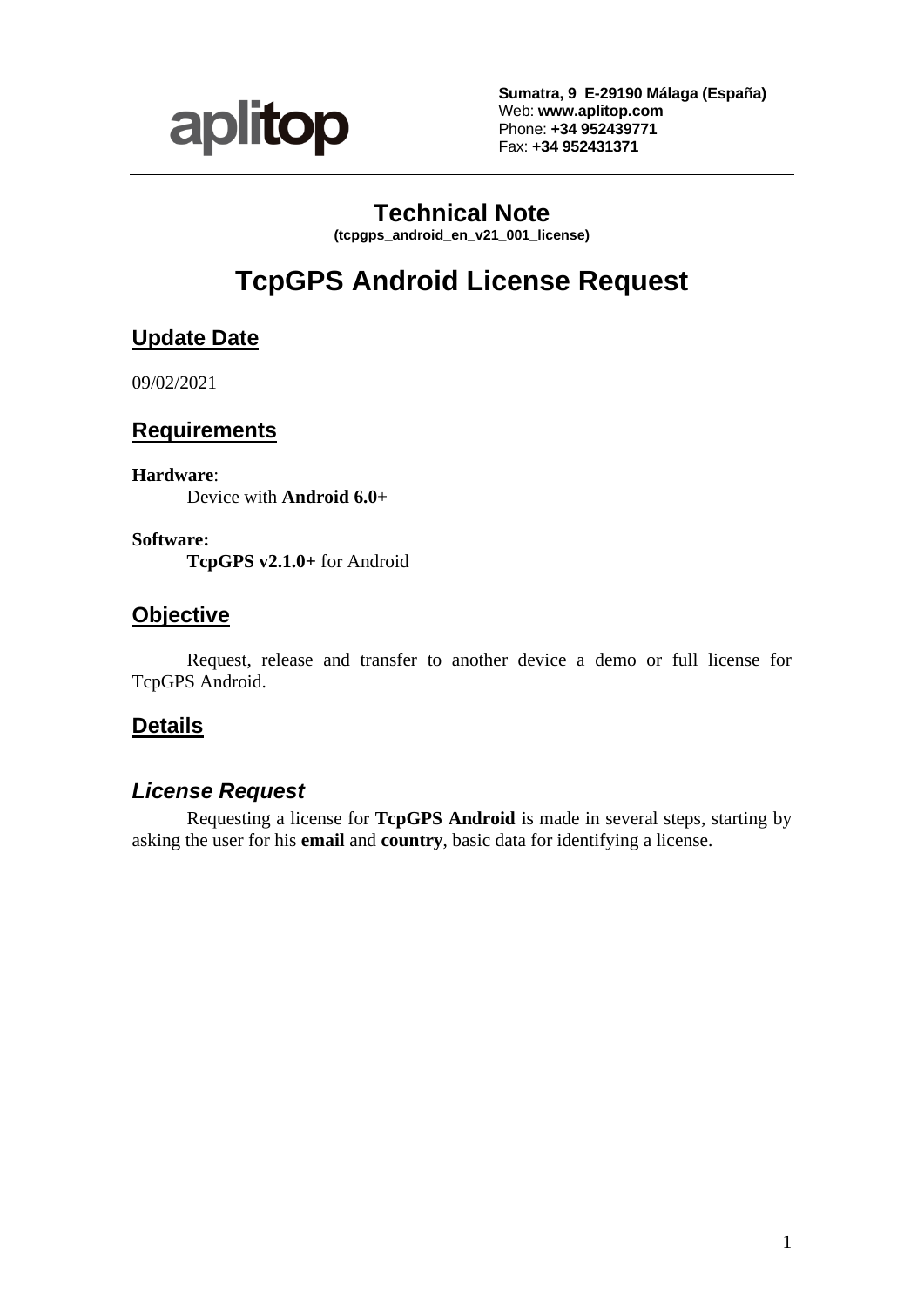

**Sumatra, 9 E-29190 Málaga (España)** Web: **www.aplitop.com** Phone: **+34 952439771** Fax: **+34 952431371**

# **Technical Note**

**(tcpgps\_android\_en\_v21\_001\_license)**

# **TcpGPS Android License Request**

# **Update Date**

09/02/2021

## **Requirements**

**Hardware**:

Device with **Android 6.0**+

**Software:**

**TcpGPS v2.1.0+** for Android

## **Objective**

Request, release and transfer to another device a demo or full license for TcpGPS Android.

# **Details**

# *License Request*

Requesting a license for **TcpGPS Android** is made in several steps, starting by asking the user for his **email** and **country**, basic data for identifying a license.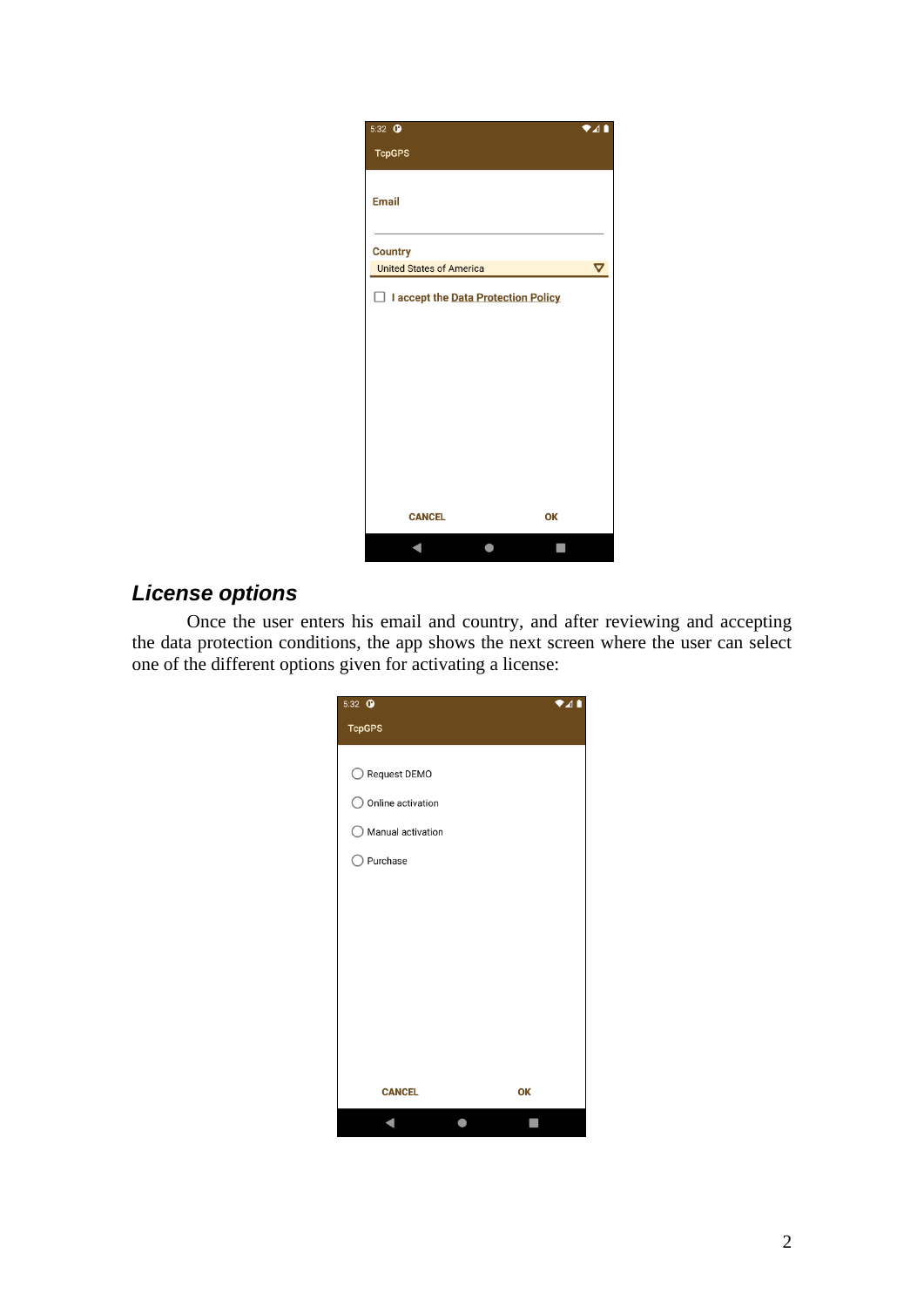| 5:32 $\bullet$                           | $\overline{\mathbf{A}}$ |
|------------------------------------------|-------------------------|
| <b>TcpGPS</b>                            |                         |
|                                          |                         |
| <b>Email</b>                             |                         |
|                                          |                         |
| <b>Country</b>                           |                         |
| <b>United States of America</b>          | $\bm{\nabla}$           |
| I accept the Data Protection Policy<br>П |                         |
|                                          |                         |
|                                          |                         |
|                                          |                         |
|                                          |                         |
|                                          |                         |
|                                          |                         |
|                                          |                         |
|                                          |                         |
|                                          |                         |
| <b>CANCEL</b><br>OK                      |                         |
|                                          |                         |

# *License options*

Once the user enters his email and country, and after reviewing and accepting the data protection conditions, the app shows the next screen where the user can select one of the different options given for activating a license:

| 5:32 <b>O</b>                | $\bullet$ 41 |
|------------------------------|--------------|
| <b>TcpGPS</b>                |              |
|                              |              |
| ◯ Request DEMO               |              |
| $\bigcirc$ Online activation |              |
| $\bigcirc$ Manual activation |              |
| $\bigcirc$ Purchase          |              |
|                              |              |
|                              |              |
|                              |              |
|                              |              |
|                              |              |
|                              |              |
|                              |              |
|                              |              |
| <b>CANCEL</b>                | OK           |
|                              |              |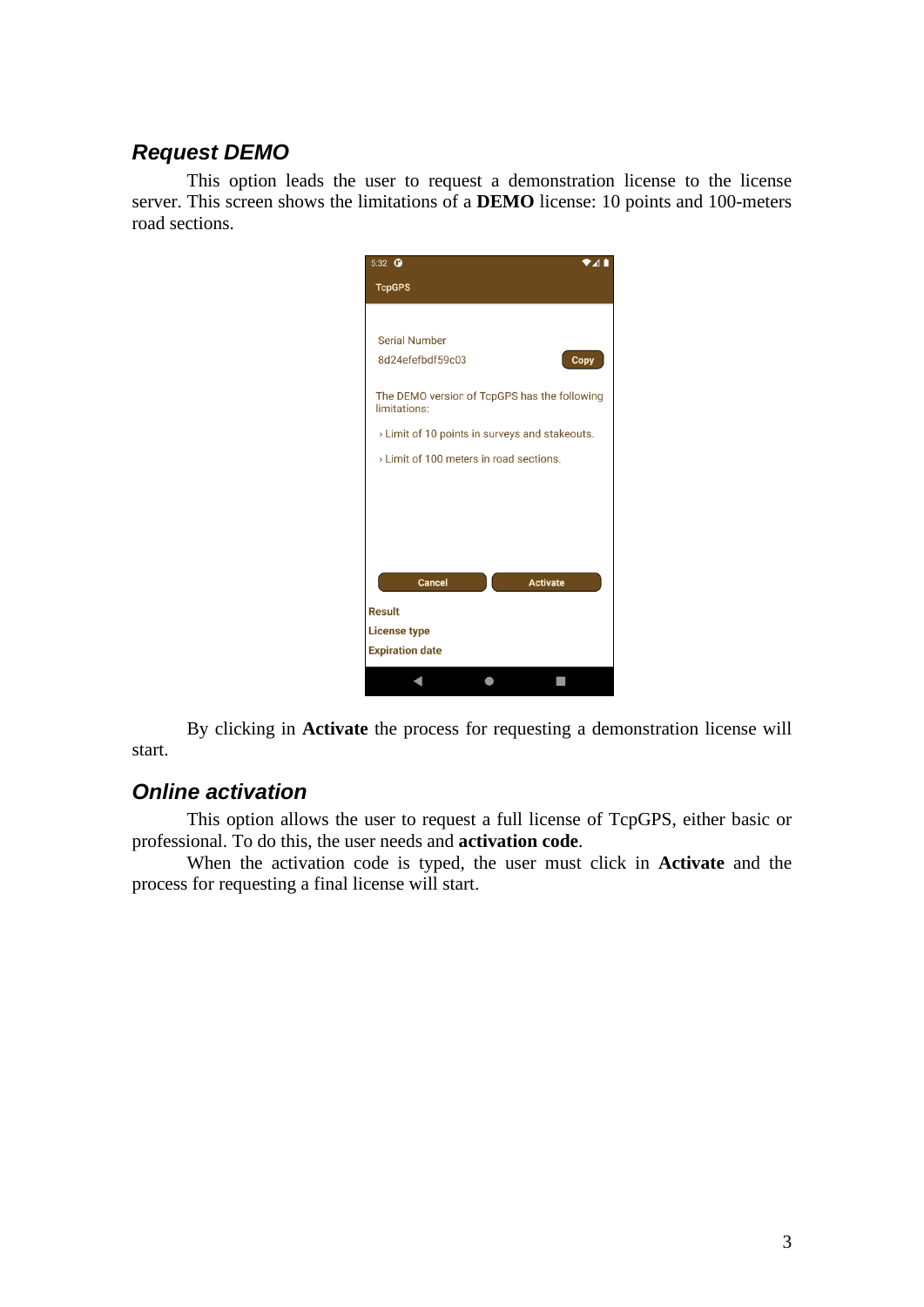### *Request DEMO*

This option leads the user to request a demonstration license to the license server. This screen shows the limitations of a **DEMO** license: 10 points and 100-meters road sections.



By clicking in **Activate** the process for requesting a demonstration license will start.

#### *Online activation*

This option allows the user to request a full license of TcpGPS, either basic or professional. To do this, the user needs and **activation code**.

When the activation code is typed, the user must click in **Activate** and the process for requesting a final license will start.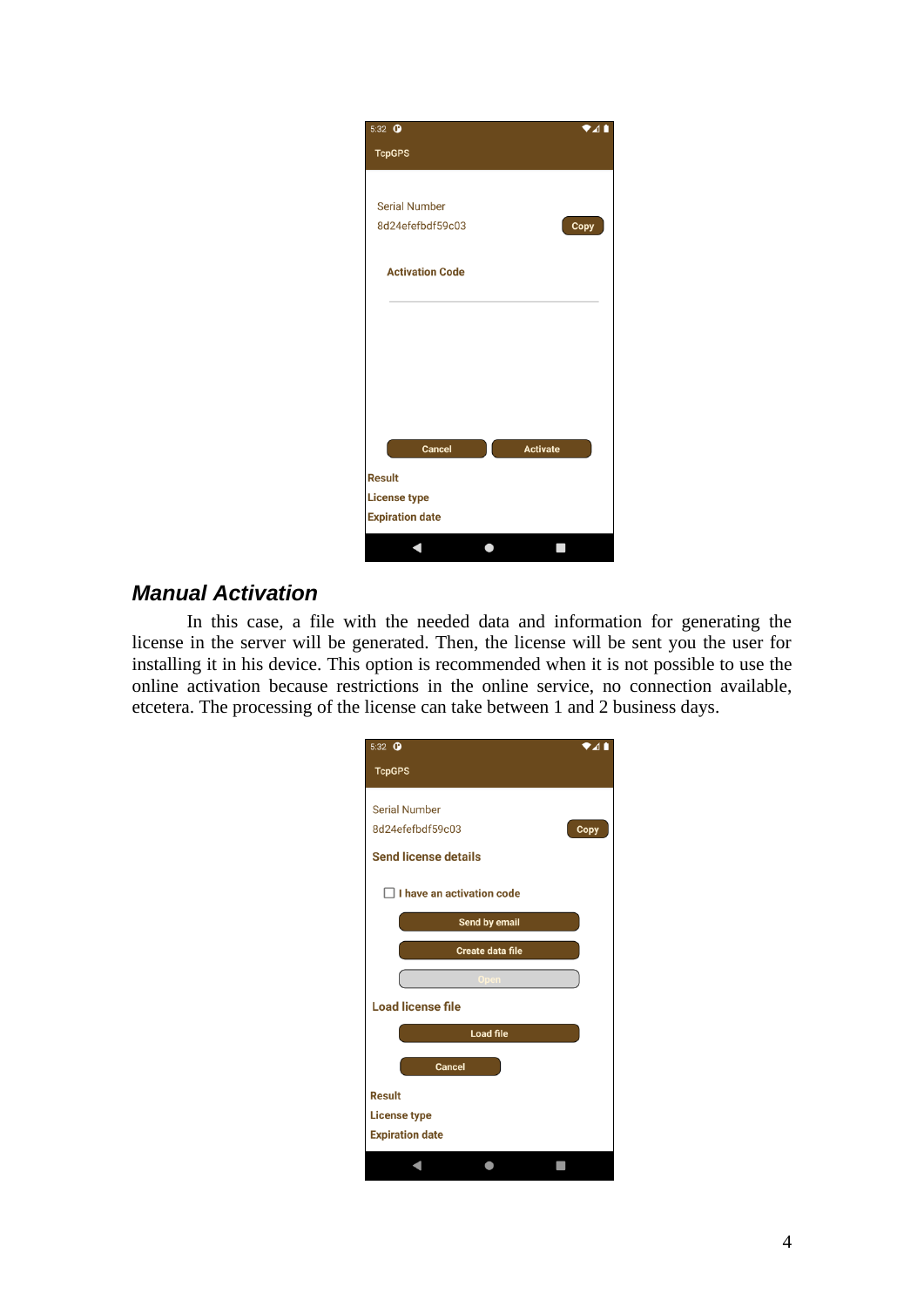| 5:32 <b>O</b>          | ▼⊿∎             |
|------------------------|-----------------|
| <b>TcpGPS</b>          |                 |
|                        |                 |
| <b>Serial Number</b>   |                 |
| 8d24efefbdf59c03       | Copy            |
| <b>Activation Code</b> |                 |
|                        |                 |
|                        |                 |
|                        |                 |
|                        |                 |
|                        |                 |
| <b>Cancel</b>          | <b>Activate</b> |
| <b>Result</b>          |                 |
| <b>License type</b>    |                 |
| <b>Expiration date</b> |                 |
|                        |                 |

# *Manual Activation*

In this case, a file with the needed data and information for generating the license in the server will be generated. Then, the license will be sent you the user for installing it in his device. This option is recommended when it is not possible to use the online activation because restrictions in the online service, no connection available, etcetera. The processing of the license can take between 1 and 2 business days.

| $5:32$ $\bullet$<br>741          |  |
|----------------------------------|--|
| <b>TcpGPS</b>                    |  |
| <b>Serial Number</b>             |  |
| 8d24efefbdf59c03<br>Copy         |  |
| <b>Send license details</b>      |  |
| $\Box$ I have an activation code |  |
| Send by email                    |  |
| <b>Create data file</b>          |  |
| Open                             |  |
| <b>Load license file</b>         |  |
| <b>Load file</b>                 |  |
| <b>Cancel</b>                    |  |
| <b>Result</b>                    |  |
| <b>License type</b>              |  |
| <b>Expiration date</b>           |  |
|                                  |  |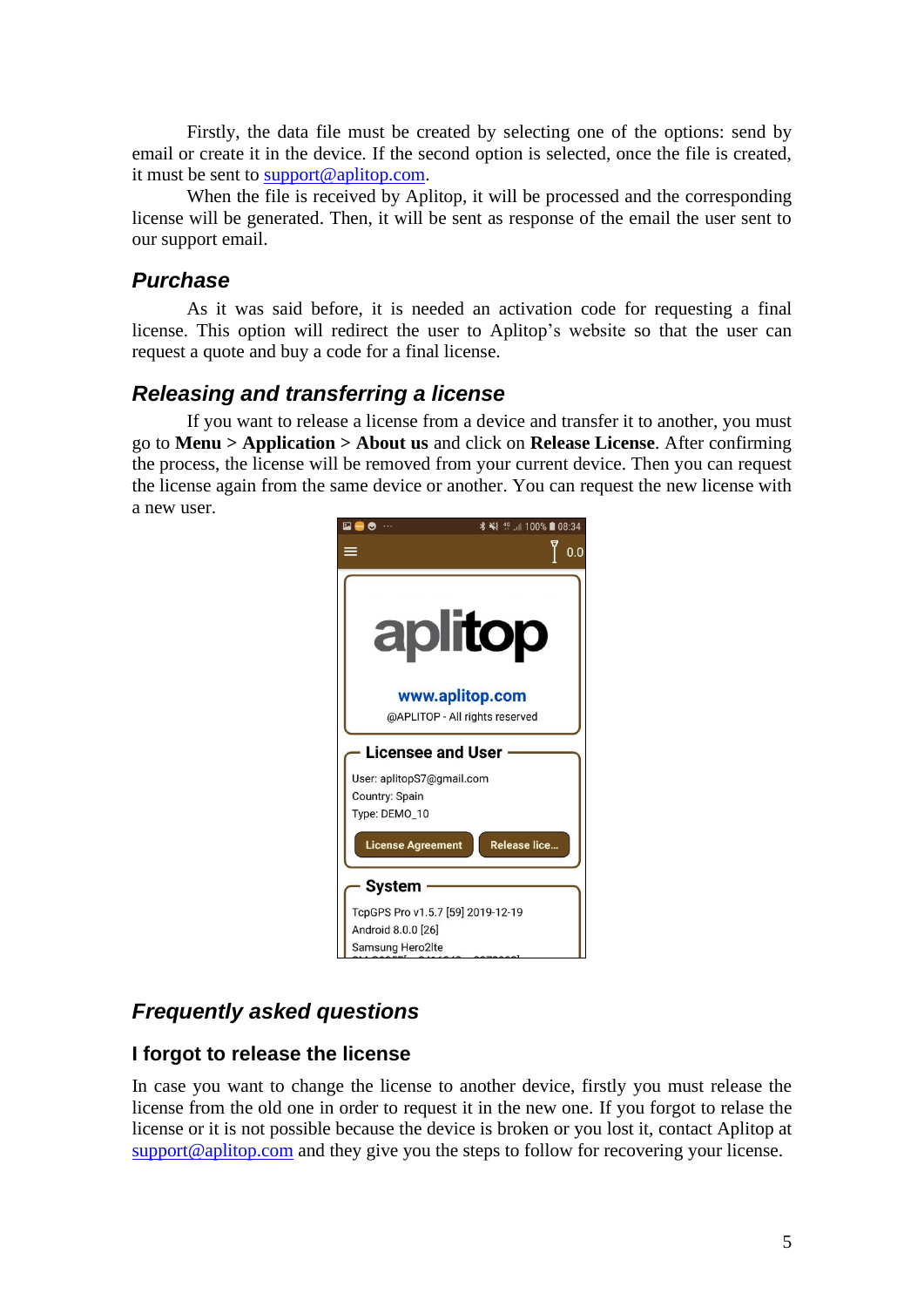Firstly, the data file must be created by selecting one of the options: send by email or create it in the device. If the second option is selected, once the file is created, it must be sent to [support@aplitop.com.](mailto:support@aplitop.com)

When the file is received by Aplitop, it will be processed and the corresponding license will be generated. Then, it will be sent as response of the email the user sent to our support email.

#### *Purchase*

As it was said before, it is needed an activation code for requesting a final license. This option will redirect the user to Aplitop's website so that the user can request a quote and buy a code for a final license.

#### *Releasing and transferring a license*

If you want to release a license from a device and transfer it to another, you must go to **Menu > Application > About us** and click on **Release License**. After confirming the process, the license will be removed from your current device. Then you can request the license again from the same device or another. You can request the new license with a new user.



# *Frequently asked questions*

#### **I forgot to release the license**

In case you want to change the license to another device, firstly you must release the license from the old one in order to request it in the new one. If you forgot to relase the license or it is not possible because the device is broken or you lost it, contact Aplitop at [support@aplitop.com](mailto:support@aplitop.com) and they give you the steps to follow for recovering your license.